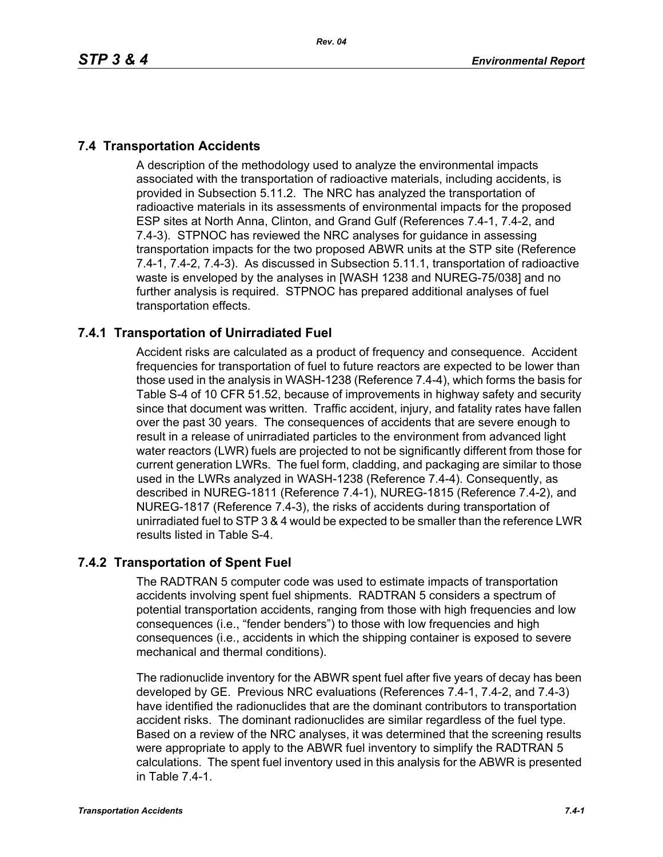# **7.4 Transportation Accidents**

A description of the methodology used to analyze the environmental impacts associated with the transportation of radioactive materials, including accidents, is provided in Subsection 5.11.2. The NRC has analyzed the transportation of radioactive materials in its assessments of environmental impacts for the proposed ESP sites at North Anna, Clinton, and Grand Gulf (References 7.4-1, 7.4-2, and 7.4-3). STPNOC has reviewed the NRC analyses for guidance in assessing transportation impacts for the two proposed ABWR units at the STP site (Reference 7.4-1, 7.4-2, 7.4-3). As discussed in Subsection 5.11.1, transportation of radioactive waste is enveloped by the analyses in [WASH 1238 and NUREG-75/038] and no further analysis is required. STPNOC has prepared additional analyses of fuel transportation effects.

# **7.4.1 Transportation of Unirradiated Fuel**

Accident risks are calculated as a product of frequency and consequence. Accident frequencies for transportation of fuel to future reactors are expected to be lower than those used in the analysis in WASH-1238 (Reference 7.4-4), which forms the basis for Table S-4 of 10 CFR 51.52, because of improvements in highway safety and security since that document was written. Traffic accident, injury, and fatality rates have fallen over the past 30 years. The consequences of accidents that are severe enough to result in a release of unirradiated particles to the environment from advanced light water reactors (LWR) fuels are projected to not be significantly different from those for current generation LWRs. The fuel form, cladding, and packaging are similar to those used in the LWRs analyzed in WASH-1238 (Reference 7.4-4). Consequently, as described in NUREG-1811 (Reference 7.4-1), NUREG-1815 (Reference 7.4-2), and NUREG-1817 (Reference 7.4-3), the risks of accidents during transportation of unirradiated fuel to STP 3 & 4 would be expected to be smaller than the reference LWR results listed in Table S-4.

## **7.4.2 Transportation of Spent Fuel**

The RADTRAN 5 computer code was used to estimate impacts of transportation accidents involving spent fuel shipments. RADTRAN 5 considers a spectrum of potential transportation accidents, ranging from those with high frequencies and low consequences (i.e., "fender benders") to those with low frequencies and high consequences (i.e., accidents in which the shipping container is exposed to severe mechanical and thermal conditions).

The radionuclide inventory for the ABWR spent fuel after five years of decay has been developed by GE. Previous NRC evaluations (References 7.4-1, 7.4-2, and 7.4-3) have identified the radionuclides that are the dominant contributors to transportation accident risks. The dominant radionuclides are similar regardless of the fuel type. Based on a review of the NRC analyses, it was determined that the screening results were appropriate to apply to the ABWR fuel inventory to simplify the RADTRAN 5 calculations. The spent fuel inventory used in this analysis for the ABWR is presented in Table 7.4-1.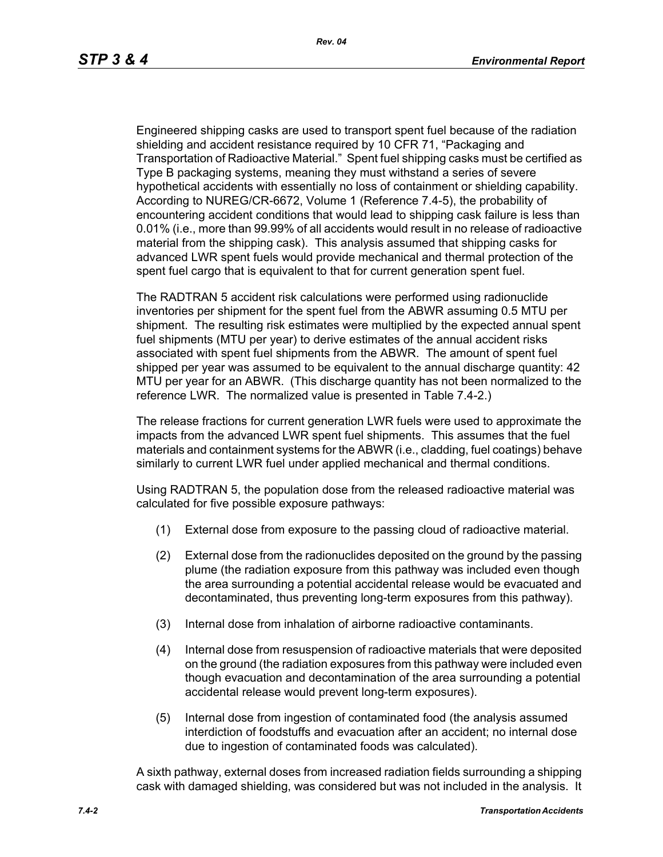Engineered shipping casks are used to transport spent fuel because of the radiation shielding and accident resistance required by 10 CFR 71, "Packaging and Transportation of Radioactive Material." Spent fuel shipping casks must be certified as Type B packaging systems, meaning they must withstand a series of severe hypothetical accidents with essentially no loss of containment or shielding capability. According to NUREG/CR-6672, Volume 1 (Reference 7.4-5), the probability of encountering accident conditions that would lead to shipping cask failure is less than 0.01% (i.e., more than 99.99% of all accidents would result in no release of radioactive material from the shipping cask). This analysis assumed that shipping casks for advanced LWR spent fuels would provide mechanical and thermal protection of the spent fuel cargo that is equivalent to that for current generation spent fuel.

The RADTRAN 5 accident risk calculations were performed using radionuclide inventories per shipment for the spent fuel from the ABWR assuming 0.5 MTU per shipment. The resulting risk estimates were multiplied by the expected annual spent fuel shipments (MTU per year) to derive estimates of the annual accident risks associated with spent fuel shipments from the ABWR. The amount of spent fuel shipped per year was assumed to be equivalent to the annual discharge quantity: 42 MTU per year for an ABWR. (This discharge quantity has not been normalized to the reference LWR. The normalized value is presented in Table 7.4-2.)

The release fractions for current generation LWR fuels were used to approximate the impacts from the advanced LWR spent fuel shipments. This assumes that the fuel materials and containment systems for the ABWR (i.e., cladding, fuel coatings) behave similarly to current LWR fuel under applied mechanical and thermal conditions.

Using RADTRAN 5, the population dose from the released radioactive material was calculated for five possible exposure pathways:

- (1) External dose from exposure to the passing cloud of radioactive material.
- (2) External dose from the radionuclides deposited on the ground by the passing plume (the radiation exposure from this pathway was included even though the area surrounding a potential accidental release would be evacuated and decontaminated, thus preventing long-term exposures from this pathway).
- (3) Internal dose from inhalation of airborne radioactive contaminants.
- (4) Internal dose from resuspension of radioactive materials that were deposited on the ground (the radiation exposures from this pathway were included even though evacuation and decontamination of the area surrounding a potential accidental release would prevent long-term exposures).
- (5) Internal dose from ingestion of contaminated food (the analysis assumed interdiction of foodstuffs and evacuation after an accident; no internal dose due to ingestion of contaminated foods was calculated).

A sixth pathway, external doses from increased radiation fields surrounding a shipping cask with damaged shielding, was considered but was not included in the analysis. It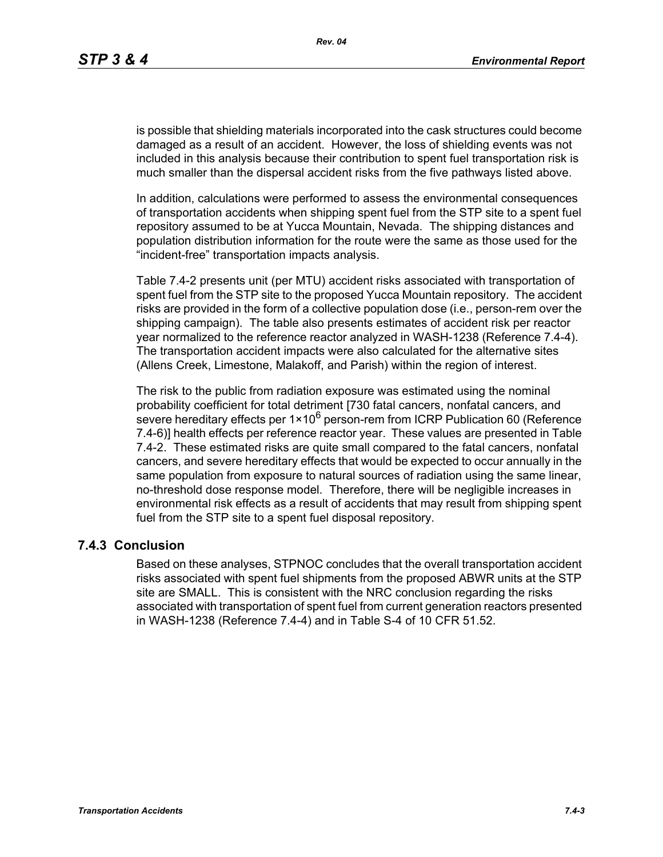is possible that shielding materials incorporated into the cask structures could become damaged as a result of an accident. However, the loss of shielding events was not included in this analysis because their contribution to spent fuel transportation risk is much smaller than the dispersal accident risks from the five pathways listed above.

In addition, calculations were performed to assess the environmental consequences of transportation accidents when shipping spent fuel from the STP site to a spent fuel repository assumed to be at Yucca Mountain, Nevada. The shipping distances and population distribution information for the route were the same as those used for the "incident-free" transportation impacts analysis.

Table 7.4-2 presents unit (per MTU) accident risks associated with transportation of spent fuel from the STP site to the proposed Yucca Mountain repository. The accident risks are provided in the form of a collective population dose (i.e., person-rem over the shipping campaign). The table also presents estimates of accident risk per reactor year normalized to the reference reactor analyzed in WASH-1238 (Reference 7.4-4). The transportation accident impacts were also calculated for the alternative sites (Allens Creek, Limestone, Malakoff, and Parish) within the region of interest.

The risk to the public from radiation exposure was estimated using the nominal probability coefficient for total detriment [730 fatal cancers, nonfatal cancers, and severe hereditary effects per  $1 \times 10^6$  person-rem from ICRP Publication 60 (Reference 7.4-6)] health effects per reference reactor year. These values are presented in Table 7.4-2. These estimated risks are quite small compared to the fatal cancers, nonfatal cancers, and severe hereditary effects that would be expected to occur annually in the same population from exposure to natural sources of radiation using the same linear, no-threshold dose response model. Therefore, there will be negligible increases in environmental risk effects as a result of accidents that may result from shipping spent fuel from the STP site to a spent fuel disposal repository.

#### **7.4.3 Conclusion**

Based on these analyses, STPNOC concludes that the overall transportation accident risks associated with spent fuel shipments from the proposed ABWR units at the STP site are SMALL. This is consistent with the NRC conclusion regarding the risks associated with transportation of spent fuel from current generation reactors presented in WASH-1238 (Reference 7.4-4) and in Table S-4 of 10 CFR 51.52.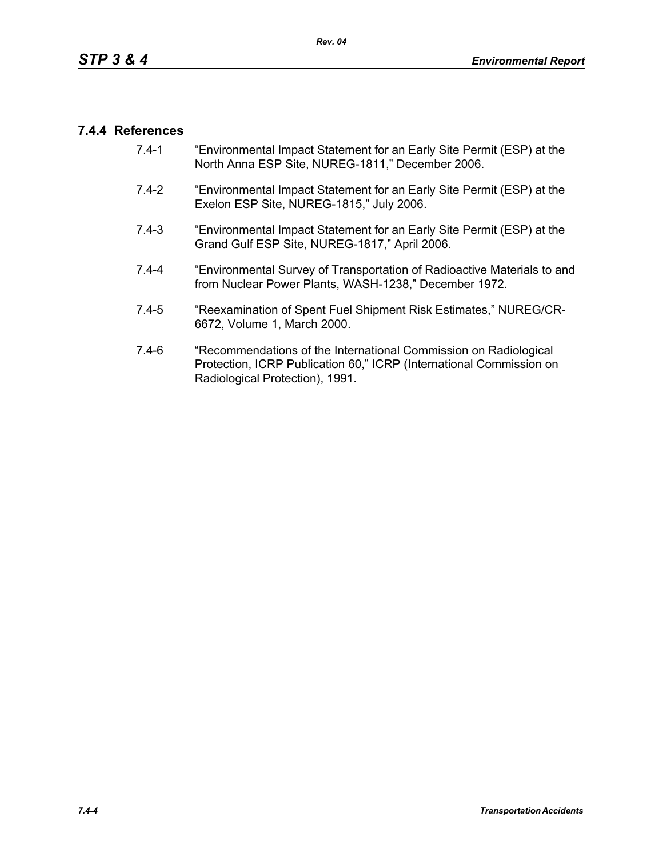### **7.4.4 References**

- 7.4-1 "Environmental Impact Statement for an Early Site Permit (ESP) at the North Anna ESP Site, NUREG-1811," December 2006.
- 7.4-2 "Environmental Impact Statement for an Early Site Permit (ESP) at the Exelon ESP Site, NUREG-1815," July 2006.
- 7.4-3 "Environmental Impact Statement for an Early Site Permit (ESP) at the Grand Gulf ESP Site, NUREG-1817," April 2006.
- 7.4-4 "Environmental Survey of Transportation of Radioactive Materials to and from Nuclear Power Plants, WASH-1238," December 1972.
- 7.4-5 "Reexamination of Spent Fuel Shipment Risk Estimates," NUREG/CR-6672, Volume 1, March 2000.
- 7.4-6 "Recommendations of the International Commission on Radiological Protection, ICRP Publication 60," ICRP (International Commission on Radiological Protection), 1991.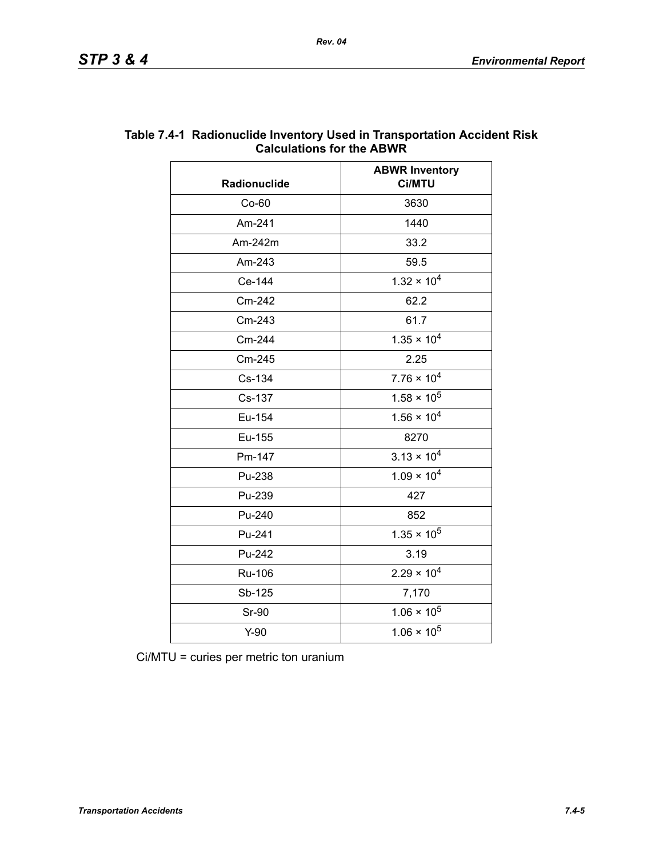| Radionuclide | <b>ABWR Inventory</b><br>Ci/MTU |  |
|--------------|---------------------------------|--|
| $Co-60$      | 3630                            |  |
| Am-241       | 1440                            |  |
| Am-242m      | 33.2                            |  |
| Am-243       | 59.5                            |  |
| Ce-144       | $1.32 \times 10^{4}$            |  |
| Cm-242       | 62.2                            |  |
| Cm-243       | 61.7                            |  |
| Cm-244       | $1.35 \times 10^{4}$            |  |
| Cm-245       | 2.25                            |  |
| Cs-134       | $7.76 \times 10^4$              |  |
| Cs-137       | $1.58 \times 10^5$              |  |
| Eu-154       | $1.56 \times 10^{4}$            |  |
| Eu-155       | 8270                            |  |
| Pm-147       | $3.13 \times 10^{4}$            |  |
| Pu-238       | $1.09 \times 10^{4}$            |  |
| Pu-239       | 427                             |  |
| Pu-240       | 852                             |  |
| Pu-241       | $1.35 \times 10^5$              |  |
| Pu-242       | 3.19                            |  |
| Ru-106       | $2.29 \times 10^{4}$            |  |
| Sb-125       | 7,170                           |  |
| <b>Sr-90</b> | $1.06 \times 10^5$              |  |
| $Y-90$       | $1.06 \times 10^5$              |  |

### **Table 7.4-1 Radionuclide Inventory Used in Transportation Accident Risk Calculations for the ABWR**

Ci/MTU = curies per metric ton uranium